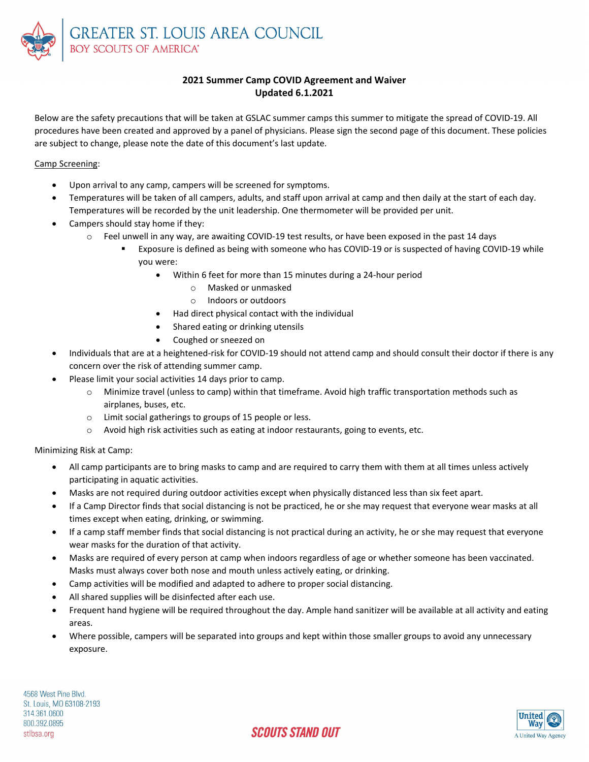

## **2021 Summer Camp COVID Agreement and Waiver Updated 6.1.2021**

Below are the safety precautions that will be taken at GSLAC summer camps this summer to mitigate the spread of COVID‐19. All procedures have been created and approved by a panel of physicians. Please sign the second page of this document. These policies are subject to change, please note the date of this document's last update.

Camp Screening:

- Upon arrival to any camp, campers will be screened for symptoms.
- Temperatures will be taken of all campers, adults, and staff upon arrival at camp and then daily at the start of each day. Temperatures will be recorded by the unit leadership. One thermometer will be provided per unit.
- Campers should stay home if they:
	- o Feel unwell in any way, are awaiting COVID‐19 test results, or have been exposed in the past 14 days
		- Exposure is defined as being with someone who has COVID‐19 or is suspected of having COVID‐19 while you were:
			- Within 6 feet for more than 15 minutes during a 24‐hour period
				- o Masked or unmasked
				- o Indoors or outdoors
			- Had direct physical contact with the individual
			- Shared eating or drinking utensils
			- Coughed or sneezed on
- Individuals that are at a heightened‐risk for COVID‐19 should not attend camp and should consult their doctor if there is any concern over the risk of attending summer camp.
- Please limit your social activities 14 days prior to camp.
	- o Minimize travel (unless to camp) within that timeframe. Avoid high traffic transportation methods such as airplanes, buses, etc.
	- o Limit social gatherings to groups of 15 people or less.
	- $\circ$  Avoid high risk activities such as eating at indoor restaurants, going to events, etc.

Minimizing Risk at Camp:

- All camp participants are to bring masks to camp and are required to carry them with them at all times unless actively participating in aquatic activities.
- Masks are not required during outdoor activities except when physically distanced less than six feet apart.
- If a Camp Director finds that social distancing is not be practiced, he or she may request that everyone wear masks at all times except when eating, drinking, or swimming.
- If a camp staff member finds that social distancing is not practical during an activity, he or she may request that everyone wear masks for the duration of that activity.
- Masks are required of every person at camp when indoors regardless of age or whether someone has been vaccinated. Masks must always cover both nose and mouth unless actively eating, or drinking.
- Camp activities will be modified and adapted to adhere to proper social distancing.
- All shared supplies will be disinfected after each use.
- Frequent hand hygiene will be required throughout the day. Ample hand sanitizer will be available at all activity and eating areas.
- Where possible, campers will be separated into groups and kept within those smaller groups to avoid any unnecessary exposure.

4568 West Pine Blvd. St. Louis, MO 63108-2193 314.361.0600 800.392.0895 stlbsa.org